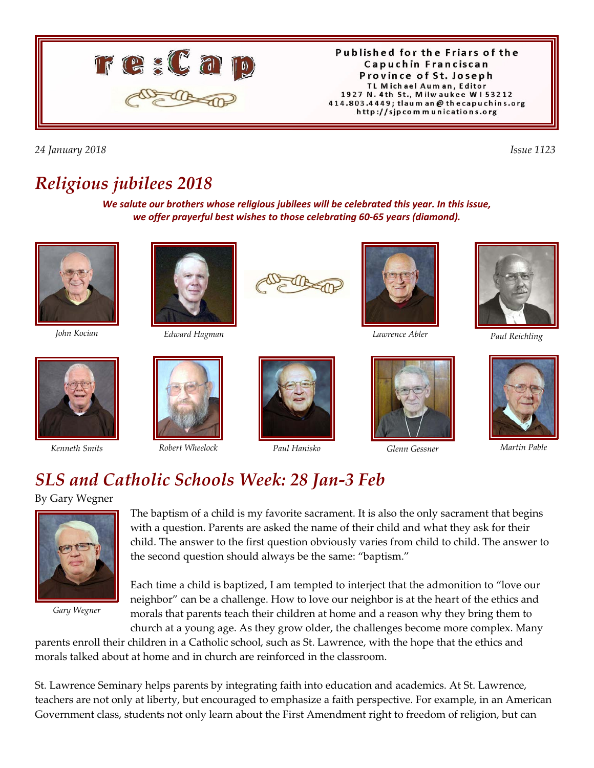

Published for the Friars of the Capuchin Franciscan Province of St. Joseph TL Michael Auman, Editor 1927 N. 4th St., Milwaukee W153212 414.803.4449; tlaum an @ thecapuchins.org http://sjpcommunications.org

*24 January 2018 Issue 1123* 

## *Religious jubilees 2018*

*We salute our brothers whose religious jubilees will be celebrated this year. In this issue, we offer prayerful best wishes to those celebrating 60-65 years (diamond).*







*Paul Reichling John Kocian Edward Hagman Lawrence Abler*









*Kenneth Smits Robert Wheelock Paul Hanisko Glenn Gessner Martin Pable*





# *SLS and Catholic Schools Week: 28 Jan-3 Feb*

By Gary Wegner



*Gary Wegner*

The baptism of a child is my favorite sacrament. It is also the only sacrament that begins with a question. Parents are asked the name of their child and what they ask for their child. The answer to the first question obviously varies from child to child. The answer to the second question should always be the same: "baptism."

Each time a child is baptized, I am tempted to interject that the admonition to "love our neighbor" can be a challenge. How to love our neighbor is at the heart of the ethics and morals that parents teach their children at home and a reason why they bring them to church at a young age. As they grow older, the challenges become more complex. Many

parents enroll their children in a Catholic school, such as St. Lawrence, with the hope that the ethics and morals talked about at home and in church are reinforced in the classroom.

St. Lawrence Seminary helps parents by integrating faith into education and academics. At St. Lawrence, teachers are not only at liberty, but encouraged to emphasize a faith perspective. For example, in an American Government class, students not only learn about the First Amendment right to freedom of religion, but can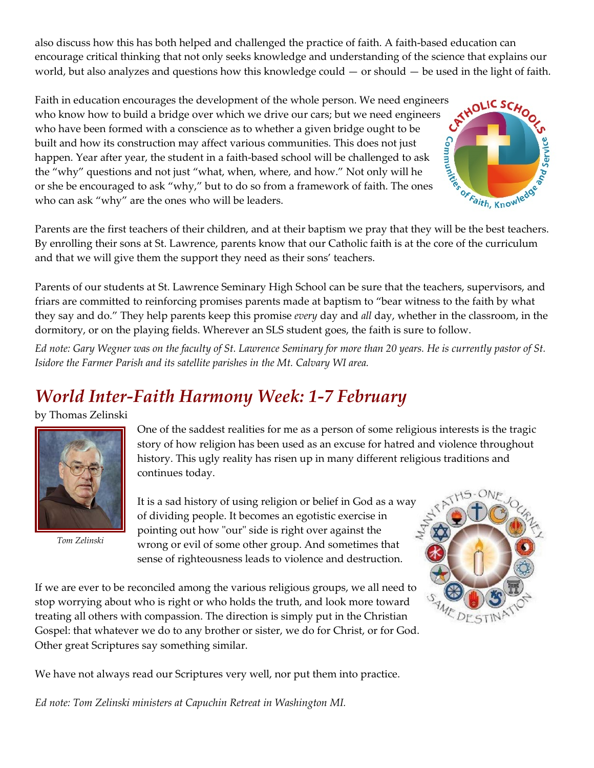also discuss how this has both helped and challenged the practice of faith. A faith-based education can encourage critical thinking that not only seeks knowledge and understanding of the science that explains our world, but also analyzes and questions how this knowledge could — or should — be used in the light of faith.

Faith in education encourages the development of the whole person. We need engineers who know how to build a bridge over which we drive our cars; but we need engineers who have been formed with a conscience as to whether a who know how to build a bridge over which we drive our cars; but we need engineers who have been formed with a conscience as to whether a given bridge ought to be built and how its construction may affect various communities. This does not just who have been formed with a some and the strategy of built and how its construction may affect various communities. This does not just<br>happen. Year after year, the student in a faith-based school will be challenged to ask<br> the "why" questions and not just "what, when, where, and how." Not only will he or she be encouraged to ask "why," but to do so from a framework of faith. The ones who can ask "why" are the ones who will be leaders.

Parents are the first teachers of their children, and at their baptism we pray that they will be the best teachers. By enrolling their sons at St. Lawrence, parents know that our Catholic faith is at the core of the curriculum and that we will give them the support they need as their sons' teachers.

Parents of our students at St. Lawrence Seminary High School can be sure that the teachers, supervisors, and friars are committed to reinforcing promises parents made at baptism to "bear witness to the faith by what they say and do." They help parents keep this promise *every* day and *all* day, whether in the classroom, in the dormitory, or on the playing fields. Wherever an SLS student goes, the faith is sure to follow.

*Ed note: Gary Wegner was on the faculty of St. Lawrence Seminary for more than 20 years. He is currently pastor of St. Isidore the Farmer Parish and its satellite parishes in the Mt. Calvary WI area.*

# *World Inter-Faith Harmony Week: 1-7 February*

by Thomas Zelinski



*Tom Zelinski*

One of the saddest realities for me as a person of some religious interests is the tragic story of how religion has been used as an excuse for hatred and violence throughout history. This ugly reality has risen up in many different religious traditions and continues today.

It is a sad history of using religion or belief in God as a way of dividing people. It becomes an egotistic exercise in pointing out how "our" side is right over against the wrong or evil of some other group. And sometimes that sense of righteousness leads to violence and destruction.

If we are ever to be reconciled among the various religious groups, we all need to stop worrying about who is right or who holds the truth, and look more toward treating all others with compassion. The direction is simply put in the Christian Gospel: that whatever we do to any brother or sister, we do for Christ, or for God. Other great Scriptures say something similar.



We have not always read our Scriptures very well, nor put them into practice.

*Ed note: Tom Zelinski ministers at Capuchin Retreat in Washington MI.*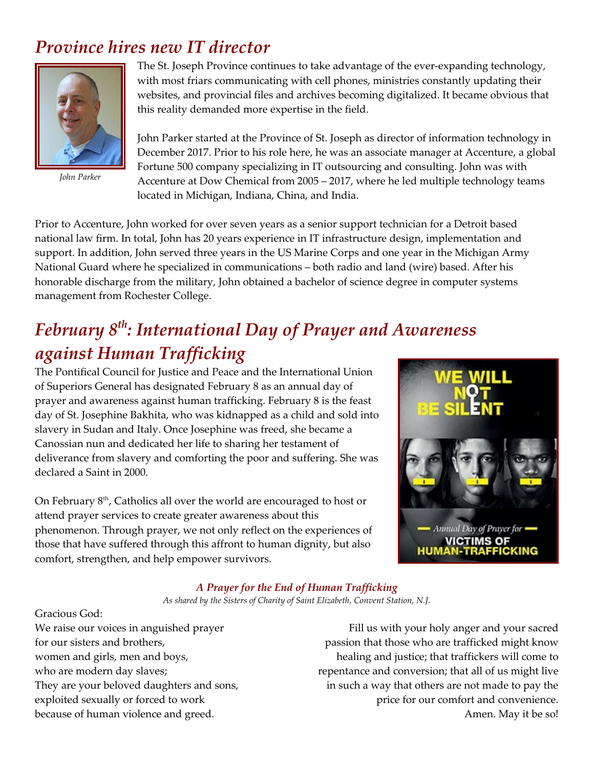### *Province hires new IT director*



*John Parker*

The St. Joseph Province continues to take advantage of the ever-expanding technology, with most friars communicating with cell phones, ministries constantly updating their websites, and provincial files and archives becoming digitalized. It became obvious that this reality demanded more expertise in the field.

John Parker started at the Province of St. Joseph as director of information technology in December 2017. Prior to his role here, he was an associate manager at Accenture, a global Fortune 500 company specializing in IT outsourcing and consulting. John was with Accenture at Dow Chemical from 2005 – 2017, where he led multiple technology teams located in Michigan, Indiana, China, and India.

Prior to Accenture, John worked for over seven years as a senior support technician for a Detroit based national law firm. In total, John has 20 years experience in IT infrastructure design, implementation and support. In addition, John served three years in the US Marine Corps and one year in the Michigan Army National Guard where he specialized in communications – both radio and land (wire) based. After his honorable discharge from the military, John obtained a bachelor of science degree in computer systems management from Rochester College.

# *February 8th: International Day of Prayer and Awareness against Human Trafficking*

The Pontifical Council for Justice and Peace and the International Union of Superiors General has designated February 8 as an annual day of prayer and awareness against human trafficking. February 8 is the feast day of St. Josephine Bakhita, who was kidnapped as a child and sold into slavery in Sudan and Italy. Once Josephine was freed, she became a Canossian nun and dedicated her life to sharing her testament of deliverance from slavery and comforting the poor and suffering. She was declared a Saint in 2000.

On February  $8<sup>th</sup>$ , Catholics all over the world are encouraged to host or attend prayer services to create greater awareness about this phenomenon. Through prayer, we not only reflect on the experiences of those that have suffered through this affront to human dignity, but also comfort, strengthen, and help empower survivors.



#### *A Prayer for the End of Human Trafficking*

*As shared by the Sisters of Charity of Saint Elizabeth, Convent Station, N.J.*

Gracious God: We raise our voices in anguished prayer for our sisters and brothers, women and girls, men and boys, who are modern day slaves; They are your beloved daughters and sons, exploited sexually or forced to work because of human violence and greed.

Fill us with your holy anger and your sacred passion that those who are trafficked might know healing and justice; that traffickers will come to repentance and conversion; that all of us might live in such a way that others are not made to pay the price for our comfort and convenience. Amen. May it be so!